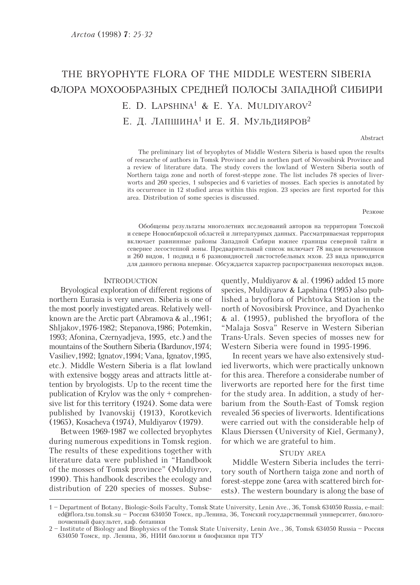# THE BRYOPHYTE FLORA OF THE MIDDLE WESTERN SIBERIA ФЛОРА МОХООБРАЗНЫХ СРЕДНЕЙ ПОЛОСЫ ЗАПАДНОЙ СИБИРИ E. D. LAPSHINA<sup>1</sup> & E. YA. MULDIYAROV<sup>2</sup> Е. Д. ЛАПШИНА<sup>1</sup> И Е. Я. МУЛЬДИЯРОВ<sup>2</sup>

#### Abstract

The preliminary list of bryophytes of Middle Western Siberia is based upon the results of researche of authors in Tomsk Province and in northen part of Novosibirsk Province and a review of literature data. The study covers the lowland of Western Siberia south of Northern taiga zone and north of forest-steppe zone. The list includes 78 species of liverworts and 260 species, 1 subspecies and 6 varieties of mosses. Each species is annotated by its occurrence in 12 studied areas within this region. 23 species are first reported for this area. Distribution of some species is discussed.

#### Резюме

Обобщены результаты многолетних исследований авторов на территории Томской и севере Новосибирской областей и литературных данных. Рассматриваемая территория включает равнинные районы Западной Сибири южнее границы северной тайги и севернее лесостепной зоны. Предварительный список включает 78 видов печеночников и 260 видов, 1 подвид и 6 разновидностей листостебельных мхов. 23 вида приводятся для данного региона впервые. Обсуждается характер распространения некоторых видов.

### INTRODUCTION

Bryological exploration of different regions of northern Eurasia is very uneven. Siberia is one of the most poorly investigated areas. Relatively wellknown are the Arctic part (Abramova & al.,1961; Shljakov,1976-1982; Stepanova,1986; Potemkin, 1993; Afonina, Czernyadjeva, 1995, etc.) and the mountains of the Southern Siberia (Bardunov,1974; Vasiliev,1992; Ignatov,1994; Vana, Ignatov,1995, etc.). Middle Western Siberia is a flat lowland with extensive boggy areas and attracts little attention by bryologists. Up to the recent time the publication of Krylov was the only + comprehensive list for this territory (1924). Some data were published by Ivanovskij (1913), Korotkevich (1965), Kosacheva (1974), Muldiyarov (1979).

Between 1969-1987 we collected bryophytes during numerous expeditions in Tomsk region. The results of these expeditions together with literature data were published in "Handbook of the mosses of Tomsk province" (Muldiyrov, 1990). This handbook describes the ecology and distribution of 220 species of mosses. Subsequently, Muldiyarov & al. (1996) added 15 more species, Muldiyarov & Lapshina (1995) also published a bryoflora of Pichtovka Station in the north of Novosibirsk Province, and Dyachenko & al. (1995), published the bryoflora of the "Malaja Sosva" Reserve in Western Siberian Trans-Urals. Seven species of mosses new for Western Siberia were found in 1995-1996.

In recent years we have also extensively studied liverworts, which were practically unknown for this area. Therefore a considerabe number of liverworts are reported here for the first time for the study area. In addition, a study of herbarium from the South-East of Tomsk region revealed 56 species of liverworts. Identifications were carried out with the considerable help of Klaus Dierssen (University of Kiel, Germany), for which we are grateful to him.

#### STUDY AREA

Middle Western Siberia includes the territory south of Northern taiga zone and north of forest-steppe zone (area with scattered birch forests). The western boundary is along the base of

<sup>1 –</sup> Department of Botany, Biologic-Soils Faculty, Tomsk State University, Lenin Ave., 36, Tomsk 634050 Russia, e-mail: ed@flora.tsu.tomsk.su – Россия 634050 Томск, пр.Ленина, 36, Томский государственный университет, биологопочвенный факультет, каф. ботаники

<sup>2 –</sup> Institute of Biology and Biophysics of the Tomsk State University, Lenin Ave., 36, Tomsk 634050 Russia – Россия 634050 Томск, пр. Ленина, 36, НИИ биологии и биофизики при ТГУ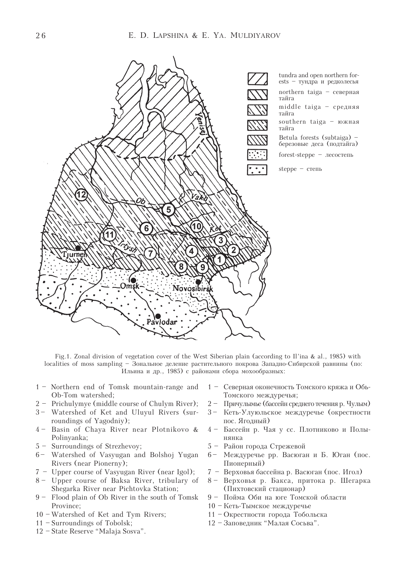

Fig.1. Zonal division of vegetation cover of the West Siberian plain (according to Il'ina & al., 1985) with localities of moss sampling – Зональное деление растительного покрова Западно-Сибирской равнины (по: Ильина и др., 1985) с районами сбора мохообразных:

- 1 Northern end of Tomsk mountain-range and Ob-Tom watershed;
- 2 Prichulymye (middle course of Chulym River);
- 3- Watershed of Ket and Uluyul Rivers (surroundings of Yagodniy);
- 4 Basin of Chaya River near Plotnikovo & Polinyanka;
- 5 Surroundings of Strezhevoy;
- 6 Watershed of Vasyugan and Bolshoj Yugan Rivers (near Pionerny);
- 7 Upper course of Vasyugan River (near Igol);
- 8 Upper course of Baksa River, tribulary of Shegarka River near Pichtovka Station;
- 9 Flood plain of Ob River in the south of Tomsk Province;
- 10 Watershed of Ket and Tym Rivers;
- 11 Surroundings of Tobolsk;
- 12 State Reserve "Malaja Sosva".
- 1 Северная оконечность Томского кряжа и Обь-Томского междуречья;
- 2 Причулымые (бассейн среднего течения р. Чулым)
- 3 Кеть-Улуюльское междуречье (окрестности пос. Ягодный)
- 4 Бассейн р. Чая у сс. Плотниково и Полынянка
- 5 Район города Стрежевой
- 6 Междуречье рр. Васюган и Б. Юган (пос. Пионерный)
- 7 Верховья бассейна р. Васюган (пос. Игол)
- 8 Верховья р. Бакса, притока р. Шегарка (Пихтовский стационар)
- 9 Пойма Оби на юге Томской области
- 10 Кеть-Тымское междуречье
- 11 Окрестности города Тобольска
- 12 Заповедник "Малая Сосьва".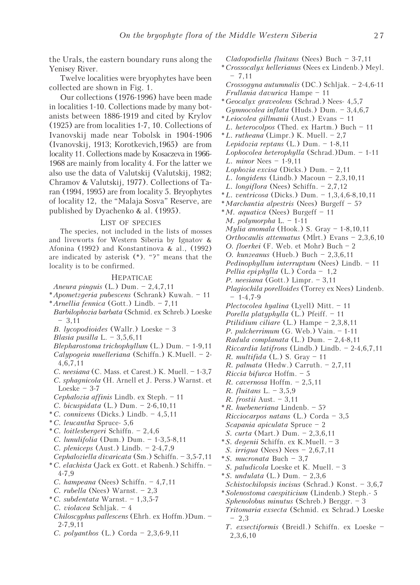the Urals, the eastern boundary runs along the Yenisey River.

Twelve localities were bryophytes have been collected are shown in Fig. 1.

Our collections (1976-1996) have been made in localities 1-10. Collections made by many botanists between 1886-1919 and cited by Krylov (1925) are from localities 1-7, 10. Collections of Ivanovskij made near Tobolsk in 1904-1906 (Ivanovskij, 1913; Korotkevich,1965) are from locality 11. Collections made by Kosaczeva in 1966- 1968 are mainly from locality 4. For the latter we also use the data of Valutskij (Valutskij, 1982; Chramov & Valutskij, 1977). Collections of Taran (1994, 1995) are from locality 5. Bryophytes of locality 12, the "Malaja Sosva" Reserve, are published by Dyachenko & al. (1995).

#### LIST OF SPECIES

The species, not included in the lists of mosses and liveworts for Western Siberia by Ignatov & Afonina (1992) and Konstantinova & al., (1992) are indicated by asterisk (\*). "?" means that the locality is to be confirmed.

#### HEPATICAE

Aneura pinguis (L.) Dum. – 2,4,7,11

- \*Apometzgeria pubescens (Schrank) Kuwah. 11
- \*Arnellia fennica (Gott.) Lindb. 7,11
- Barbilophozia barbata (Schmid. ex Schreb.) Loeske – 3,11
- B. lycopodioides (Wallr.) Loeske 3
- Blasia pusilla L. 3,5,6,11
- Blepharostoma trichophyllum (L.) Dum. 1-9,11 Calypogeia muelleriana (Schiffn.) K.Muell. – 2-
- 4,6,7,11 C. neesiana (C. Mass. et Carest.) K. Muell. – 1-3,7
- C. sphagnicola (H. Arnell et J. Perss.) Warnst. et
- Loeske  $3-7$
- Cephalozia affinis Lindb. ex Steph. 11
- C. bicuspidata (L.) Dum. 2-6,10,11
- $°C.$  connivens (Dicks.) Lindb.  $-4,5,11$
- \*C. leucantha Spruce- 5,6
- \*C. loitlesbergeri Schiffn. 2,4,6
- C. lunulifolia (Dum.) Dum. 1-3,5-8,11
- C. pleniceps (Aust.) Lindb.  $-2-4,7,9$
- Cephaloziella divaricata (Sm.) Schiffn. 3,5-7,11
- \*C. elachista (Jack ex Gott. et Rabenh.) Schiffn. 4-7,9
- C. hampeana (Nees) Schiffn. 4,7,11
- C. rubella (Nees) Warnst. 2,3
- $*C. subdentata$  Warnst. 1,3,5-7 C. violacea Schljak. – 4
- Chiloscyphus pallescens (Ehrh. ex Hoffm.)Dum. 2-7,9,11
- C. polyanthos (L.) Corda 2,3,6-9,11

Cladopodiella fluitans (Nees) Buch – 3-7,11 \*Crossocalyx hellerianus (Nees ex Lindenb.) Meyl.  $-7.11$ 

Crossogyna autumnalis (DC.) Schljak. – 2-4,6-11 Frullania davurica Hampe – 11

- \*Geocalyx graveolens (Schrad.) Nees- 4,5,7 Gymnocolea inflata (Huds.) Dum. – 3,4,6,7 \*Leiocolea gillmanii (Aust.) Evans – 11
- L. heterocolpos (Thed. ex Hartm.) Buch 11  $*L.$  *rutheana* (Limpr.) K. Muell.  $-2,7$

Lepidozia reptans  $(L.)$  Dum. - 1-8,11 Lophocolea heterophylla (Schrad.)Dum. – 1-11 L. minor Nees – 1-9,11 Lophozia excisa (Dicks.) Dum. – 2,11 L. longidens (Lindb.) Macoun – 2,3,10,11 L. longiflora (Nees) Schiffn. – 2,7,12 \*L. ventricosa (Dicks.) Dum. – 1,3,4,6-8,10,11 \*Marchantia alpestris (Nees) Burgeff – 5?  $*M.$  *aquatica* (Nees) Burgeff – 11 M. polymorpha  $L. - 1-11$ Mylia anomala (Hook.) S. Gray – 1-8,10,11 Orthocaulis attenuatus (Mĺrt.) Evans – 2,3,6,10 O. floerkei (F. Web. et Mohr) Buch – 2 O. kunzeanus (Hueb.) Buch – 2,3,6,11 Pedinophyllum interruptum (Nees) Lindb. – 11

- Pellia epi phylla (L.) Corda 1,2
- P. neesiana (Gott.) Limpr. 3,11 Plagiochila porelloides (Torrey ex Nees) Lindenb.
- $-1-4.7-9$
- Plectocolea hyalina (Lyell) Mitt. 11
- Porella platyphylla (L.) Pfeiff. 11
- Ptilidium ciliare (L.) Hampe 2,3,8,11
- P. pulcherrimum (G. Web.) Vain. 1-11
- Radula complanata (L.) Dum. 2,4-8,11
- Riccardia latifrons (Lindb.) Lindb. 2-4,6,7,11
- R. multifida  $(L)$  S. Gray 11
- R. palmata (Hedw.) Carruth.  $-2,7,11$
- Riccia bifurca Hoffm. 5
- R. cavernosa Hoffm. 2,5,11
- R. fluitans L. 3,5,9
- R. frostii Aust. 3,11
- \*R. huebeneriana Lindenb. 5? Ricciocarpos natans  $(L.)$  Corda – 3,5
- Scapania apiculata Spruce 2
- S. curta (Mart.) Dum. 2,3,6,11 \*S. degenii Schiffn. ex K.Muell. – 3
- S. irrigua (Nees) Nees 2,6,7,11
- \*S. mucronata Buch 3,7
- S. paludicola Loeske et K. Muell. 3
- \* *S. undulata* (L.) Dum.  $-2,3,6$
- Schistochilopsis incisus (Schrad.) Konst. 3,6,7
- \*Solenostoma caespiticium (Lindenb.) Steph.- 5 Sphenolobus minutus (Schreb.) Berggr. – 3 Tritomaria exsecta (Schmid. ex Schrad.) Loeske – 2,3
- T. exsectiformis (Breidl.) Schiffn. ex Loeske 2,3,6,10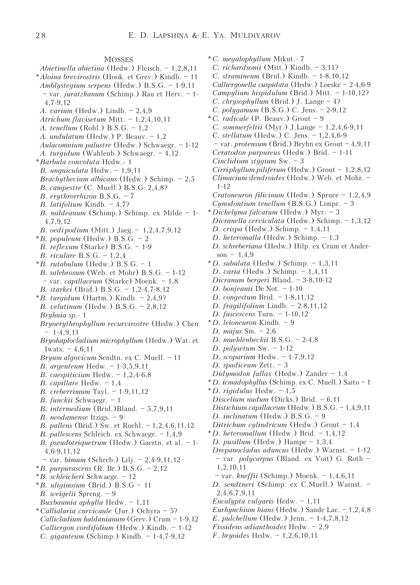## **MOSSES**

- Abietinella abietina (Hedw.) Fleisch. 1,2,8,11
- \*Aloina brevirostris (Hook. et Grev.) Kindb. 11 Amblystegium serpens (Hedw.) B.S.G. – 1-9,11 – var. juratzkanum (Schimp.) Rau et Herv. – 1-
- 4,7-9,12
- A. varium (Hedw.) Lindb. 2,4,9
- Atrichum flavisetum Mitt. 1,2,4,10,11
- A. tenellum (Rohl.) B.S.G. 1,2
- A. undulatum (Hedw.) P. Beauv. 1,2
- Aulacomnium palustre (Hedw.) Schwaegr. 1-12 A. turgidum (Wahlenb.) Schwaegr. – 4,12
- \*Barbula convoluta Hedw.- 1
- B. unguiculata Hedw. 1,9,11
- Brachythecium albicans (Hedw.) Schimp. 2,5
- B. campestre (C. Muell.) B.S.G- 2,4,8?
- B. erythrorrhizon B.S.G. 7
- B. latifolium Kindb. 4,7?
- 
- B. mildeanum (Schimp.) Schimp. ex Milde 1- 4,7,9,12
- B. oedi podium (Mitt.) Jaeg. 1,2,4,7,9,12
- $*B.$  populeum (Hedw.) B.S.G. 2
- B. reflexum (Starke) B.S.G. 1-9
- B. rivulare B.S.G. 1,2,4
- $*B.$  rutabulum (Hedw.)  $B.S.G. 1$ B. salebrosum (Web. et Mohr)  $B.S.G. - 1-12$ – var. capillaceum (Starke) Moenk. – 1,8
- B. starkei (Brid.) B.S.G. 1,2-4,7-8,12
- $*B.$  turgidum (Hartm.) Kindb.  $-2,4,9$ ?
- B. velutinum (Hedw.) B.S.G. 2,8,12
- Bryhnia sp.- 1
- Bryoerythrophyllum recurvirostre (Hedw.) Chen  $-1-4,9,11$
- Bryohaplocladium microphyllum (Hedw.) Wat. et Iwats.  $-4,6,11$
- Bryum algovicum Sendtn. ex C. Muell. 11
- B. argenteum Hedw. 1-3,5,9,11
- B. caespiticium Hedw.  $-1,2,4-6,8$
- B. capillare Hedw. 1,4
- B. creberrimum Tayl. 1-9,11,12
- B. funckii Schwaegr. 1
- *B. intermedium* (Brid.)Bland.  $-5,7,9,11$
- B. neodamense Itzigs. 9
- B. pallens (Brid.) Sw. et Roehl. 1,2,4,6,11,12
- B. pallescens Schleich. ex Schwaegr. 1,4,9
- B. pseudotriquetrum (Hedw.) Gaertn. et al. 1- 4,6-9,11,12
- var. bimum (Schreb.) Lilj. 2,4-9,11,12
- $*B. purpurascens (R. Br.) B.S.G. 2,12$
- \*B. schleicheri Schwaegr. 12
- $*B.$  uliginosum (Brid.) B.S.G 11
- B. weigelii Spreng. 9 Buxbaumia aphylla Hedw. – 1,11
- \*Callialaria curvicaule (Jur.) Ochyra 5?
- Callicladium haldanianum (Grev.) Crum 1-9,12 Calliergon cordifolium (Hedw.) Kindb. – 1-12 C. giganteum (Schimp.) Kindb. – 1-4,7-9,12
- \*C. megalophyllum Mikut.- 7
- C. richardsonii (Mitt.) Kindb. 3,11?
- C. stramineum (Brid.) Kindb. 1-8,10,12
- Calliergonella cuspidata (Hedw.) Loeske 2-4,6-9
- Campylium hispidulum (Brid.) Mitt. 1-10,12?
- C. chrysophyllum (Brid.) J. Lange  $-4$ ?
- C. polygamum (B.S.G.) C. Jens. 2-9,12
- \*C. radicale (P. Beauv.) Grout 9
- C. sommerfeltii (Myr.) J.Lange  $-1,2,4,6-9,11$
- C. stellatum (Hedw.) C. Jens. 1,2,4,6-9
- var. protensum (Brid.) Bryhn ex Grout 4,9,11
- Ceratodon purpureus (Hedw.) Brid. 1-11
- Cinclidium stygium Sw. 3
- Cirriphyllum piliferum (Hedw.) Grout  $-1,2,8,12$
- Climacium dendroides (Hedw.) Web. et Mohr. 1-12
- Cratoneuron filicinum (Hedw.) Spruce 1,2,4,9 Cynodontium tenellum (B.S.G.) Limpr. – 3
- \*Dichelyma falcatum (Hedw.) Myr. 3
- Dicranella cerviculata (Hedw.) Schimp. 1,3,12
- D. crispa (Hedw.) Schimp. 1,4,11
- D. heteromalla (Hedw.) Schimp. 1,3
- D. schreberiana (Hedw.) Hilp. ex Crum et Anderson –  $1.4.9$
- $*D.$  subulata (Hedw.) Schimp.  $-1,3,11$
- D. varia (Hedw.) Schimp. 1,4,11
- Dicranum bergeri Bland. 3-8,10-12
- D. bonjeanii De Not. 1-10
- D. congestum Brid. 1-8,11,12
- D. fragilifolium Lindb.  $-2-8,11,12$
- D. fuscescens Turn. 1-10,12
- \*D. leioneuron Kindb. 9
- D. majus  $Sm. 2,6$
- D. muehlenbeckii B.S.G. 2-4,8
- D. polysetum Sw. 1-12
- D. scoparium Hedw. 1-7,9,12
- D. spadiceum Zett. 3
- Didymodon fallax (Hedw.) Zander 1,4
- \*D. icmadophyllus (Schimp. ex C. Muell.) Saito 1
- \*D. rigidulus Hedw.  $-1,5$
- Discelium nudum (Dicks.) Brid. 6,11
- Distichium capillaceum (Hedw.) B.S.G. 1,4,9,11
- D. inclinatum (Hedw.) B.S.G. 9
- Ditrichum cylindricum (Hedw.) Grout 1,4
- $*D.$  heteromallum (Hedw.) Brid. 1,4,12
- D. pusillum (Hedw.) Hampe 1,3,4
- Drepanocladus aduncus (Hedw.) Warnst. 1-12 – var. polycarpus (Bland. ex Voit) G. Roth – 1,2,10,11
- $-$  var. *kneffii* (Schimp.) Moenk.  $-1,4,6,11$
- D. sendtneri (Schimp. ex C.Muell.) Warnst. 2,4,6,7,9,11
- Encalypta vulgaris Hedw. 1,11
- Eurhynchium hians (Hedw.) Sande Lac. 1,2,4,8
- E. pulchellum (Hedw.) Jenn. 1-4,7,8,12
- Fissidens adianthoides Hedw. 2,9
- F. bryoides Hedw. 1,2,6,10,11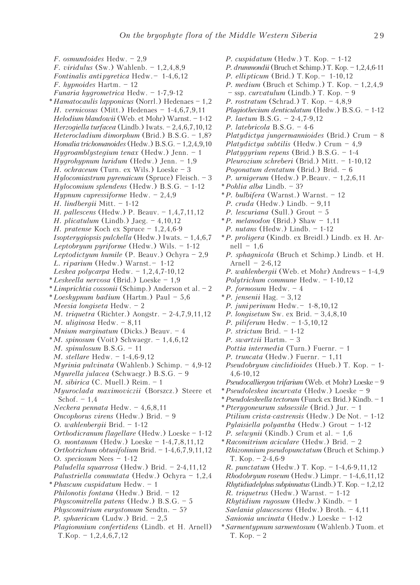F. osmundoides Hedw. – 2,9 F. viridulus (Sw.) Wahlenb.  $-1,2,4,8,9$ Fontinalis anti pyretica Hedw. – 1-4,6,12 F. hypnoides Hartm. – 12 Funaria hygrometrica Hedw. – 1-7,9-12  $*Hamatocaulis laponicus (Norrl.) Hedenaes - 1,2$ H. vernicosus (Mitt.) Hedenaes – 1-4,6,7,9,11 Helodium blandowii (Web. et Mohr) Warnst. – 1-12 Herzogiella turfacea (Lindb.) Iwats. – 2,4,6,7,10,12 Heterocladium dimorphum (Brid.) B.S.G. – 1,8? Homalia trichomanoides (Hedw.) B.S.G. – 1,2,4,9,10 Hygroamblystegium tenax (Hedw.) Jenn. – 1 Hygrohypnum luridum (Hedw.) Jenn. – 1,9 H. ochraceum (Turn. ex Wils.) Loeske – 3 Hylocomiastrum pyrenaicum (Spruce) Fleisch. – 3 Hylocomium splendens (Hedw.) B.S.G. – 1-12 Hypnum cupressiforme Hedw.  $-2,4,9$ H. lindbergii Mitt. – 1-12 H. pallescens (Hedw.) P. Beauv. – 1,4,7,11,12 H. plicatulum (Lindb.) Jaeg.  $-4,10,12$ H. pratense Koch ex Spruce – 1,2,4,6-9 Isopterygiopsis pulchella (Hedw.) Iwats. – 1,4,6,7 Leptobryum pyriforme (Hedw.) Wils. – 1-12 Leptodictyum humile (P. Beauv.) Ochyra – 2,9 L. riparium (Hedw.) Warnst.  $-1-12$ Leskea polycarpa Hedw.  $-1,2,4,7-10,12$ \*Leskeella nervosa (Brid.) Loeske – 1,9  $*Limprichtia cossonii$  (Schimp.) Anderson et al. - 2 \*Loeskypnum badium (Hartm.) Paul – 5,6 Meesia longiseta Hedw. – 2 M. triquetra (Richter.) Aongstr. – 2-4,7,9,11,12 M. uliginosa Hedw. – 8,11 Mnium marginatum (Dicks.) Beauv.  $-4$  $*M.$  spinosum (Voit) Schwaegr. - 1,4,6,12 M. spinulosum B.S.G. – 11 M. stellare Hedw. – 1-4,6-9,12 Myrinia pulvinata (Wahlenb.) Schimp. – 4,9-12 Myurella julacea (Schwaegr.) B.S.G. – 9 M. sibirica (C. Muell.) Reim. – 1 Myuroclada maximoviczii (Borszcz.) Steere et Schof.  $-1,4$ Neckera pennata Hedw. – 4,6,8,11 Oncophorus virens (Hedw.) Brid. – 9 O. wahlenbergii Brid. – 1-12 Orthodicranum flagellare (Hedw.) Loeske – 1-12 O. montanum (Hedw.) Loeske – 1-4,7,8,11,12 Orthotrichum obtusifolium Brid. – 1-4,6,7,9,11,12 O. speciosum Nees – 1-12 Paludella squarrosa (Hedw.) Brid. – 2-4,11,12 Palustriella commutata (Hedw.) Ochyra – 1,2,4 \*Phascum cuspidatum Hedw. – 1 Philonotis fontana (Hedw.) Brid. – 12 Physcomitrella patens (Hedw.)  $B.S.G. - 5$ Physcomitrium eurystomum Sendtn. – 5? P. sphaericum (Ludw.) Brid. – 2,5 Plagiomnium confertidens (Lindb. et H. Arnell)  $T.Kop. = 1, 2, 4, 6, 7, 12$ 

P. cuspidatum (Hedw.) T. Kop. – 1-12 P. drummondii (Bruch et Schimp.) T. Kop. – 1,2,4,6-11 P. ellipticum (Brid.) T. Kop. – 1-10,12 P. medium (Bruch et Schimp.) T. Kop. – 1,2,4,9  $-$  ssp. *curvatulum* (Lindb.) T. Kop.  $-9$ P. rostratum (Schrad.) T. Kop. – 4,8,9 Plagiothecium denticulatum (Hedw.) B.S.G. – 1-12 P. laetum B.S.G. – 2-4,7-9,12 P. latebricola B.S.G. – 4-6 Platydictya jungermannioides (Brid.) Crum  $-8$ Platydictya subtilis (Hedw.) Crum  $-4.9$ Platygyrium repens (Brid.) B.S.G. – 1-4 Pleurozium schreberi (Brid.) Mitt. – 1-10,12 Pogonatum dentatum (Brid.) Brid. – 6 P. urnigerum (Hedw.) P.Beauv. – 1,2,6,11 \*Pohlia alba Lindb. – 3? \*P. bulbifera (Warnst.) Warnst. – 12 P. cruda (Hedw.) Lindb. – 9,11 P. lescuriana (Sull.) Grout – 5  $*P.$  melanodon (Brid.) Shaw  $-1,11$ P. nutans (Hedw.) Lindb. – 1-12 \*P. proligera (Kindb. ex Breidl.) Lindb. ex H. Ar $nell - 1,6$ P. sphagnicola (Bruch et Schimp.) Lindb. et H. Arnell –  $2-6.12$ P. wahlenbergii (Web. et Mohr) Andrews – 1-4,9 Polytrichum commune Hedw. – 1-10,12 P. formosum Hedw. – 4  $*P.$  jensenii Hag. – 3,12 P. juni perinum Hedw. – 1-8,10,12 P. longisetum Sw. ex Brid. – 3,4,8,10 P. piliferum Hedw. – 1-5,10,12 P. strictum Brid. – 1-12 P. swartzii Hartm. – 3 Pottia intermedia (Turn.) Fuernr. – 1 P. truncata (Hedw.) Fuernr. – 1,11 Pseudobryum cinclidioides (Hueb.) T. Kop. – 1- 4,6-10,12 Pseudocalliergon trifarium (Web. et Mohr) Loeske – 9 \*Pseudoleskea incurvata (Hedw.) Loeske – 9 \*Pseudoleskeella tectorum (Funck ex Brid.) Kindb. – 1 \*Pterygoneurum subsessile (Brid.) Jur. – 1 Ptilium crista-castrensis (Hedw.) De Not. – 1-12 Pylaisiella polyantha (Hedw.) Grout – 1-12 P. selwynii (Kindb.) Crum et al.  $-1,6$ \*Racomitrium aciculare (Hedw.) Brid. – 2 Rhizomnium pseudopunctatum (Bruch et Schimp.) T. Kop. – 2-4,6-9 R. punctatum (Hedw.) T. Kop. – 1-4,6-9,11,12 Rhodobryum roseum (Hedw.) Limpr. – 1-4,6,11,12 Rhytidiadelphus subpinnatus (Lindb.) T. Kop. – 1,2,12 R. triquetrus (Hedw.) Warnst. – 1-12 Rhytidium rugosum (Hedw.) Kindb. – 1 Saelania glaucescens (Hedw.) Broth. – 4,11 Sanionia uncinata (Hedw.) Loeske – 1-12 \*Sarmentypnum sarmentosum (Wahlenb.) Tuom. et T. Kop. – 2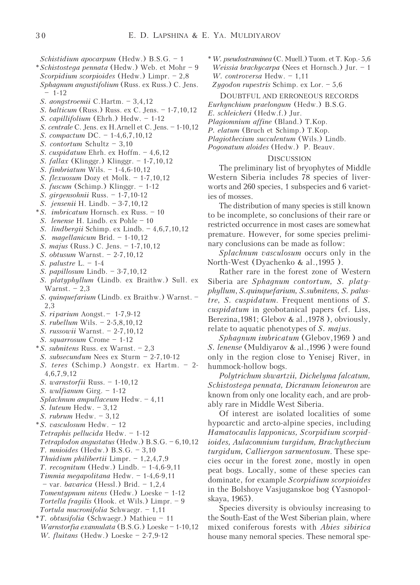Scorpidium scorpioides (Hedw.) Limpr. – 2,8 Sphagnum angustifolium (Russ. ex Russ.) C. Jens. – 1-12 S. aongstroemii C.Hartm. – 3,4,12 S. balticum (Russ.) Russ. ex C. Jens. – 1-7,10,12 S. capillifolium (Ehrh.) Hedw. – 1-12 S. centrale C. Jens. ex H.Arnell et C. Jens. – 1-10,12 S. compactum DC. – 1-4,6,7,10,12 S. contortum Schultz – 3,10 S. cuspidatum Ehrh. ex Hoffm. – 4,6,12 S. fallax (Klinggr.) Klinggr. – 1-7,10,12 S. fimbriatum Wils. – 1-4,6-10,12 S. flexuosum Dozy et Molk. – 1-7,10,12 S. fuscum (Schimp.) Klinggr. – 1-12 S. girgensohnii Russ. – 1-7,10-12 S. jensenii H. Lindb. – 3-7,10,12 \*S. imbricatum Hornsch. ex Russ. – 10 S. lenense H. Lindb. ex Pohle – 10 S. lindbergii Schimp. ex Lindb. – 4,6,7,10,12 S. magellanicum Brid. – 1-10,12 S. majus (Russ.) C. Jens. – 1-7,10,12 S. obtusum Warnst. – 2-7,10,12 S. palustre  $L. - 1-4$ S. papillosum Lindb. – 3-7,10,12 S. platyphyllum (Lindb. ex Braithw.) Sull. ex Warnst.  $-2.3$ S. quinquefarium (Lindb. ex Braithw.) Warnst. – 2,3 S. riparium Aongst. – 1-7,9-12 S. rubellum Wils. – 2-5,8,10,12 S. russowii Warnst. – 2-7,10,12 S. squarrosum Crome – 1-12 \*S. subnitens Russ. ex Warnst. – 2,3 S. subsecundum Nees ex Sturm – 2-7,10-12 S. teres (Schimp.) Aongstr. ex Hartm. – 2- 4,6,7,9,12 S. warnstorfii Russ. – 1-10,12

Schistidium apocarpum (Hedw.) B.S.G. – 1 \*Schistostega pennata (Hedw.) Web. et Mohr – 9

- 
- S. wulfianum Girg. 1-12 Splachnum ampullaceum Hedw. – 4,11
- S. luteum Hedw. 3,12
- 
- S. rubrum Hedw. 3,12 \*S. vasculosum Hedw. – 12 Tetraphis pellucida Hedw. – 1-12 Tetraplodon angustatus (Hedw.) B.S.G. – 6,10,12 T. mnioides (Hedw.) B.S.G. – 3,10 Thuidium philibertii Limpr.  $-1,2,4,7,9$ T. recognitum (Hedw.) Lindb. – 1-4,6-9,11 Timmia megapolitana Hedw. – 1-4,6-9,11 – var. bavarica (Hessl.) Brid. – 1,2,4 Tomentypnum nitens (Hedw.) Loeske – 1-12 Tortella fragilis (Hook. et Wils.) Limpr. – 9 Tortula mucronifolia Schwaegr. – 1,11 \*T. obtusifolia (Schwaegr.) Mathieu – 11
- Warnstorfia exannulata (B.S.G.) Loeske 1-10,12 W. fluitans (Hedw.) Loeske – 2-7,9-12

\*W. pseudostraminea (C. Muell.) Tuom. et T. Kop.- 5,6 Weissia brachycarpa (Nees et Hornsch.) Jur. – 1 W. controversa Hedw. - 1,11 Zygodon rupestris Schimp. ex Lor.  $-5,6$ 

- DOUBTFUL AND ERRONEOUS RECORDS
- Eurhynchium praelongum (Hedw.) B.S.G.

E. schleicheri (Hedw.f.) Jur.

- Plagiomnium affine (Bland.) T.Kop.
- P. elatum (Bruch et Schimp.) T.Kop.
- Plagiothecium succulentum (Wils.) Lindb.
- Pogonatum aloides (Hedw.) P. Beauv.

## **DISCUSSION**

The preliminary list of bryophytes of Middle Western Siberia includes 78 species of liverworts and 260 species, 1 subspecies and 6 varieties of mosses.

The distribution of many species is still known to be incomplete, so conclusions of their rare or restricted occurrence in most cases are somewhat premature. However, for some species preliminary conclusions can be made as follow:

Splachnum vasculosum occurs only in the North-West (Dyachenko & al.,1995 ).

Rather rare in the forest zone of Western Siberia are Sphagnum contortum, S. platyphyllum, S.quinquefarium, S.subnitens, S. palustre, S. cuspidatum. Frequent mentions of S. cuspidatum in geobotanical papers (cf. Liss, Berezina,1981; Glebov & al.,1978 ), obviously, relate to aquatic phenotypes of S. majus.

Sphagnum imbricatum (Glebov,1969 ) and S. lenense (Muldiyarov & al.,1996 ) were found only in the region close to Yenisej River, in hummock-hollow bogs.

Polytrichum shwartzii, Dichelyma falcatum, Schistostega pennata, Dicranum leioneuron are known from only one locality each, and are probably rare in Middle West Siberia.

Of interest are isolated localities of some hypoarctic and arcto-alpine species, including Hamatocaulis lapponicus, Scorpidium scorpidioides, Aulacomnium turgidum, Brachythecium turgidum, Calliergon sarmentosum. These species occur in the forest zone, mostly in open peat bogs. Locally, some of these species can dominate, for example Scorpidium scorpioides in the Bolshoye Vasjuganskoe bog (Yasnopolskaya, 1965).

Species diversity is obvioulsy increasing to the South-East of the West Siberian plain, where mixed coniferous forests with Abies sibirica house many nemoral species. These nemoral spe-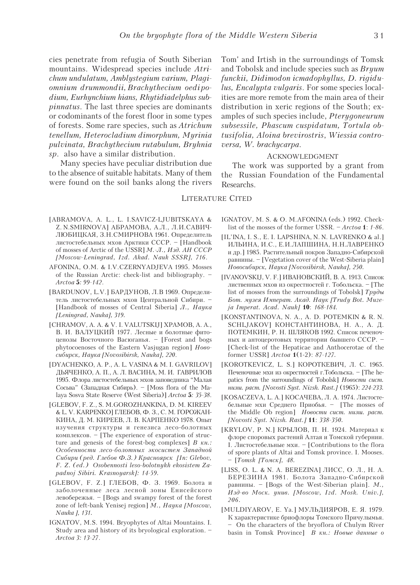cies penetrate from refugia of South Siberian mountains. Widespread species include Atrichum undulatum, Amblystegium varium, Plagiomnium drummondii, Brachythecium oedipodium, Eurhynchium hians, Rhytidiadelphus subpinnatus. The last three species are dominants or codominants of the forest floor in some types of forests. Some rare species, such as Atrichum tenellum, Heterocladium dimorphum, Myrinia pulvinata, Brachythecium rutabulum, Bryhnia sp. also have a similar distribution.

Many species have peculiar distribution due to the absence of suitable habitats. Many of them were found on the soil banks along the rivers Tom' and Irtish in the surroundings of Tomsk and Tobolsk and include species such as Bryum funckii, Didimodon icmadophyllus, D. rigidulus, Encalypta vulgaris. For some species localities are more remote from the main area of their distribution in xeric regions of the South; examples of such species include, Pterygoneurum subsessile, Phascum cuspidatum, Tortula obtusifolia, Aloina brevirostris, Wiessia controversa, W. brachycarpa.

# ACKNOWLEDGMENT

The work was supported by a grant from the Russian Foundation of the Fundamental Researchs.

### LITERATURE CITED

- [ABRAMOVA, A. L., L. I.SAVICZ-LJUBITSKAYA & Z. N.SMIRNOVA] AБРАМОВА, А.Л., Л.И.САВИЧ-ЛЮБИЦКАЯ, З.Н.СМИРНОВА 1961. Определитель листостебельных мхов Арктики СССР. – [Handbook of mosses of Arctic of the USSR] M.-*J*., *H*30. AH CCCP [Moscow-Leningrad, Izd. Akad. Nauk SSSR], 716.
- AFONINA, O.M. & I.V.CZERNYADJEVA 1995. Mosses of the Russian Arctic: check-list and bibliography. – Arctoa 5: 99-142.
- [BARDUNOV, L.V.] БАРДУНОВ, Л.В 1969. Определитель листостебельных мхов Центральной Сибири. – [Handbook of mosses of Central Siberia]  $J.$ , Hayka [Leningrad, Nauka], 319.
- [CHRAMOV, A. A. & V. I. VALUTSKIJ] XPAMOB, A. A., В. И. ВАЛУЦКИЙ 1977. Лесные и болотные фитоценозы Восточного Васюганья. – [Forest and bogs phytocoenoses of the Eastern Vasjugan region]  $Hoo$ cuбирск, Наука [Novosibirsk, Nauka], 220.
- [DYACHENKO, A. P., A. L. VASINA & M. I. GAVRILOV] ДЬЯЧЕНКО, А. П., А. Л. ВАСИНА, М. И. ГАВРИЛОВ 1995. Флора листостебельных мхов заповедника "Малая Сосьва" (Западная Сибирь). – [Moss flora of the Malaya Sosva State Reserve (West Siberia)] Arctoa 5: 35-38.
- [GLEBOV, F. Z., S. M.GOROZHANKINA, D. M. KIREEV & L. V. KARPENKO] ГЛЕБОВ, Ф. З., С. М. ГОРОЖАН-КИНА, Д. М. КИРЕЕВ, Л. В. КАРПЕНКО 1978. Опыт изучения структуры и генезиса лесо-болотных комплексов. – [The experience of exporation of structure and genesis of the forest-bog complexes]  $B_{\kappa} \kappa$ . Особенности лесо-болотных экосистем Западной Сибири (ред. Глебов Ф.З.) Красноярск [In: Glebov, F. Z. (ed.) Osobennosti leso-bolotnykh ekosistem Zapadnoj Sibiri. Krasnoyarsk]: 14-59.
- [GLEBOV, F. Z.] ГЛЕБОВ, Ф. З. 1969. Болота и заболоченные леса лесной зоны Енисейского левобережья. – [Bogs and swampy forest of the forest zone of left-bank Yenisej region] M., Hayka [Moscow, Nauka ], 131.
- IGNATOV, M.S. 1994. Bryophytes of Altai Mountains. I. Study area and history of its bryological exploration. – Arctoa 3: 13-27.
- IGNATOV, M. S. & O. M.AFONINA (eds.) 1992. Checklist of the mosses of the former USSR. – Arctoa 1: 1-86.
- [IL'INA, I. S., E. I. LAPSHINA, N. N. LAVRENKO & al.] ИЛЬИНА, И.С., Е.И.ЛАПШИНА, Н.Н.ЛАВРЕНКО и др.] 1985. Растительный покров Западно-Сибирской ðàâíèíû. – [Vegetation cover of the West-Siberia plain] Hoeocuóupck, Hayka [Novosibirsk, Nauka], 250.
- [IVANOVSKIJ, V. F.] ИВАНОВСКИЙ, В. А. 1913. Список лиственных мхов из окрестностей г. Тобольска. – [The list of mosses from the surroundings of Tobolsk]  $Tpy\partial u$ Бот. музея Императ. Акад. Наук [Trudy Bot. Muzeja Imperat. Acad. Nauk] 10: 168-184.
- [KONSTANTINOVA, N. A., A. D. POTEMKIN & R. N. SCHLJAKOV] KOHCTAHTИHOBA, H. A., A. *I*I. ПОТЕМКИН, Р. Н. ШЛЯКОВ 1992. Список печеночных и антоцеротовых территории бывшего СССР. -[Check-list of the Hepaticae and Anthocerotae of the former USSR] Arctoa 1(1-2): 87-127.
- [KOROTKEVICZ, L. S.] KOPOTKEBIJY, J. C. 1965. Печеночные мхи из окрестностей г.Тобольска. – [The hepatics from the surroundings of Tobolsk] Hoeocmu cucm. íèçø. ðàñò. [Novosti Syst. Nizsh. Rast.] (1965): 224-233.
- [KOSACZEVA, L. A.] КОСАЧЕВА, Л. A. 1974. Листостебельные мхи Среднего Приобья. - [The mosses of the Middle Ob region] Hosocmu cucm. nusu. pacm. [Novosti Syst. Nizsh. Rast.] 11: 338-350.
- [KRYLOV, P. N.] КРЫЛОВ, П. Н. 1924. Материал к флоре споровых растений Алтая и Томской губернии. I. Листостебельные мхи. – [Contributions to the flora of spore plants of Altai and Tomsk province. I. Mooses.  $-$  [Tomsk [Tomck], 48.
- [LISS, O. L. & N. A. BEREZINA]  $JIMCC$ , O.  $J.$ , H. A. БЕРЕЗИНА 1981. Болота Западно-Сибирской равнины. – [Bogs of the West-Siberian plain].  $M_{\cdot}$ , Изд-во Моск. унив. [Moscow, Izd. Mosk. Univ.], 206.
- [MULDIYAROV, E. Ya.] МУЛЬДИЯРОВ, Е. Я. 1979. К характеристике бриофлоры Томского Причулымья. – On the characters of the bryoflora of Chulym River basin in Tomsk Province]  $B_{KH}$ : Hoewe данные о